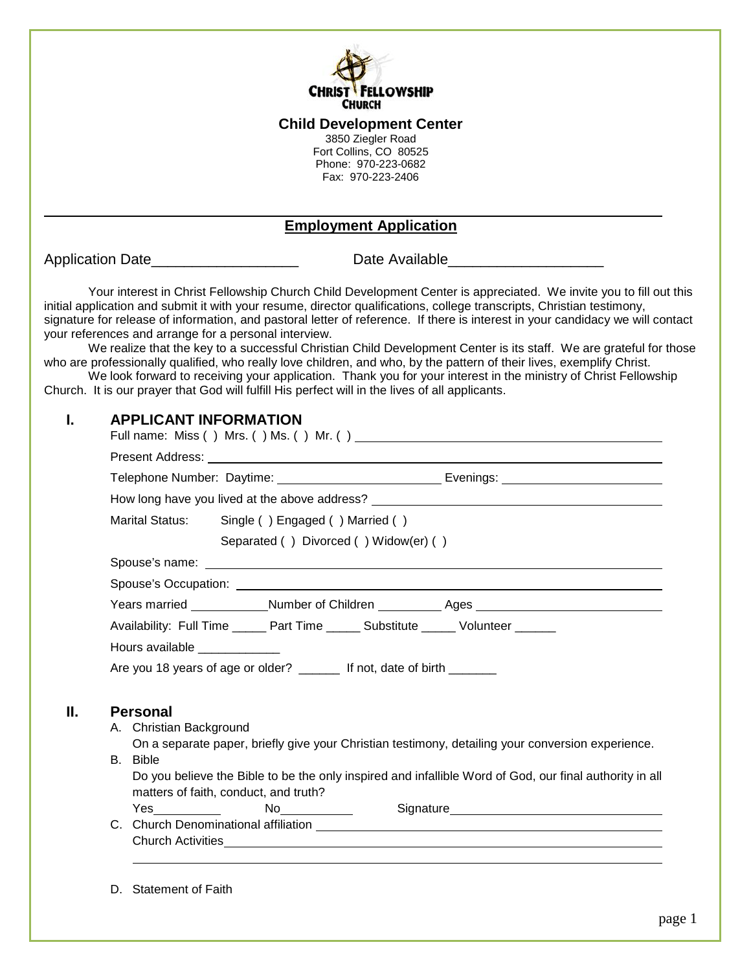

#### **Child Development Center**

3850 Ziegler Road Fort Collins, CO 80525 Phone: 970-223-0682 Fax: 970-223-2406

### **Employment Application**

Application Date\_\_\_\_\_\_\_\_\_\_\_\_\_\_\_\_\_\_\_\_\_\_\_\_\_\_\_\_\_\_\_\_Date Available\_\_\_\_\_\_\_\_\_\_\_\_\_\_\_\_\_\_

Your interest in Christ Fellowship Church Child Development Center is appreciated. We invite you to fill out this initial application and submit it with your resume, director qualifications, college transcripts, Christian testimony, signature for release of information, and pastoral letter of reference. If there is interest in your candidacy we will contact your references and arrange for a personal interview.

We realize that the key to a successful Christian Child Development Center is its staff. We are grateful for those who are professionally qualified, who really love children, and who, by the pattern of their lives, exemplify Christ.

We look forward to receiving your application. Thank you for your interest in the ministry of Christ Fellowship Church. It is our prayer that God will fulfill His perfect will in the lives of all applicants.

## **I. APPLICANT INFORMATION**

| Present Address: <u>New York: New York: New York: New York: New York: New York: New York: New York: New York: New York: New York: New York: New York: New York: New York: New York: New York: New York: New York: New York: New </u> |  |  |  |  |  |  |
|--------------------------------------------------------------------------------------------------------------------------------------------------------------------------------------------------------------------------------------|--|--|--|--|--|--|
|                                                                                                                                                                                                                                      |  |  |  |  |  |  |
| How long have you lived at the above address? __________________________________                                                                                                                                                     |  |  |  |  |  |  |
| Marital Status: Single () Engaged () Married ()                                                                                                                                                                                      |  |  |  |  |  |  |
| Separated () Divorced () Widow(er) ()                                                                                                                                                                                                |  |  |  |  |  |  |
|                                                                                                                                                                                                                                      |  |  |  |  |  |  |
|                                                                                                                                                                                                                                      |  |  |  |  |  |  |
| Years married _____________Number of Children ____________ Ages _________________                                                                                                                                                    |  |  |  |  |  |  |
|                                                                                                                                                                                                                                      |  |  |  |  |  |  |
|                                                                                                                                                                                                                                      |  |  |  |  |  |  |
| Availability: Full Time ______ Part Time ______ Substitute ______ Volunteer ______                                                                                                                                                   |  |  |  |  |  |  |
| Hours available _____________                                                                                                                                                                                                        |  |  |  |  |  |  |
| Are you 18 years of age or older? _______ If not, date of birth ______                                                                                                                                                               |  |  |  |  |  |  |
|                                                                                                                                                                                                                                      |  |  |  |  |  |  |
| <b>Personal</b>                                                                                                                                                                                                                      |  |  |  |  |  |  |
| A. Christian Background<br>On a separate paper, briefly give your Christian testimony, detailing your conversion experience.                                                                                                         |  |  |  |  |  |  |
| B. Bible                                                                                                                                                                                                                             |  |  |  |  |  |  |
| Do you believe the Bible to be the only inspired and infallible Word of God, our final authority in all                                                                                                                              |  |  |  |  |  |  |
| matters of faith, conduct, and truth?                                                                                                                                                                                                |  |  |  |  |  |  |
| <b>Yes</b> and the set of the set of the set of the set of the set of the set of the set of the set of the set of the set of the set of the set of the set of the set of the set of the set of the set of the set of the set of the  |  |  |  |  |  |  |
|                                                                                                                                                                                                                                      |  |  |  |  |  |  |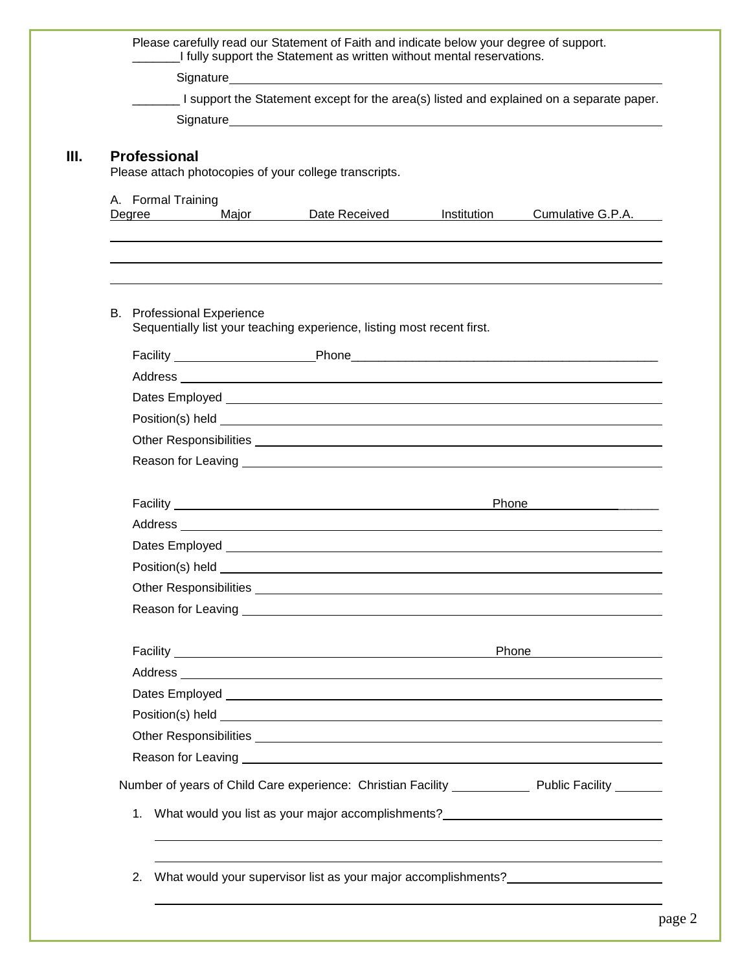| I support the Statement except for the area(s) listed and explained on a separate paper.                                                                                                                                            |                                                                                                                                                                                                                                      |  |  |  |
|-------------------------------------------------------------------------------------------------------------------------------------------------------------------------------------------------------------------------------------|--------------------------------------------------------------------------------------------------------------------------------------------------------------------------------------------------------------------------------------|--|--|--|
|                                                                                                                                                                                                                                     |                                                                                                                                                                                                                                      |  |  |  |
| <b>Professional</b><br>Please attach photocopies of your college transcripts.                                                                                                                                                       |                                                                                                                                                                                                                                      |  |  |  |
| A. Formal Training<br>Degree Major Date Received                                                                                                                                                                                    | Cumulative G.P.A.<br>Institution                                                                                                                                                                                                     |  |  |  |
| <b>B.</b> Professional Experience<br>Sequentially list your teaching experience, listing most recent first.                                                                                                                         |                                                                                                                                                                                                                                      |  |  |  |
|                                                                                                                                                                                                                                     |                                                                                                                                                                                                                                      |  |  |  |
| Address and the contract of the contract of the contract of the contract of the contract of the contract of the                                                                                                                     |                                                                                                                                                                                                                                      |  |  |  |
|                                                                                                                                                                                                                                     |                                                                                                                                                                                                                                      |  |  |  |
|                                                                                                                                                                                                                                     |                                                                                                                                                                                                                                      |  |  |  |
|                                                                                                                                                                                                                                     |                                                                                                                                                                                                                                      |  |  |  |
| Reason for Leaving <u>experience</u> and the contract of the contract of the contract of the contract of the contract of the contract of the contract of the contract of the contract of the contract of the contract of the contra |                                                                                                                                                                                                                                      |  |  |  |
|                                                                                                                                                                                                                                     | Phone <u>with the state of the state of the state of the state of the state of the state of the state of the state of the state of the state of the state of the state of the state of the state of the state of the state of th</u> |  |  |  |
|                                                                                                                                                                                                                                     |                                                                                                                                                                                                                                      |  |  |  |
|                                                                                                                                                                                                                                     |                                                                                                                                                                                                                                      |  |  |  |
|                                                                                                                                                                                                                                     |                                                                                                                                                                                                                                      |  |  |  |
|                                                                                                                                                                                                                                     |                                                                                                                                                                                                                                      |  |  |  |
|                                                                                                                                                                                                                                     |                                                                                                                                                                                                                                      |  |  |  |
|                                                                                                                                                                                                                                     | Phone 2000                                                                                                                                                                                                                           |  |  |  |
|                                                                                                                                                                                                                                     |                                                                                                                                                                                                                                      |  |  |  |
|                                                                                                                                                                                                                                     |                                                                                                                                                                                                                                      |  |  |  |
|                                                                                                                                                                                                                                     |                                                                                                                                                                                                                                      |  |  |  |
|                                                                                                                                                                                                                                     |                                                                                                                                                                                                                                      |  |  |  |
| Reason for Leaving <u>experience</u> and the contract of the contract of the contract of the contract of the contract of the contract of the contract of the contract of the contract of the contract of the contract of the contra |                                                                                                                                                                                                                                      |  |  |  |
| Number of years of Child Care experience: Christian Facility ______________ Public Facility _______                                                                                                                                 |                                                                                                                                                                                                                                      |  |  |  |
| 1. What would you list as your major accomplishments? __________________________                                                                                                                                                    |                                                                                                                                                                                                                                      |  |  |  |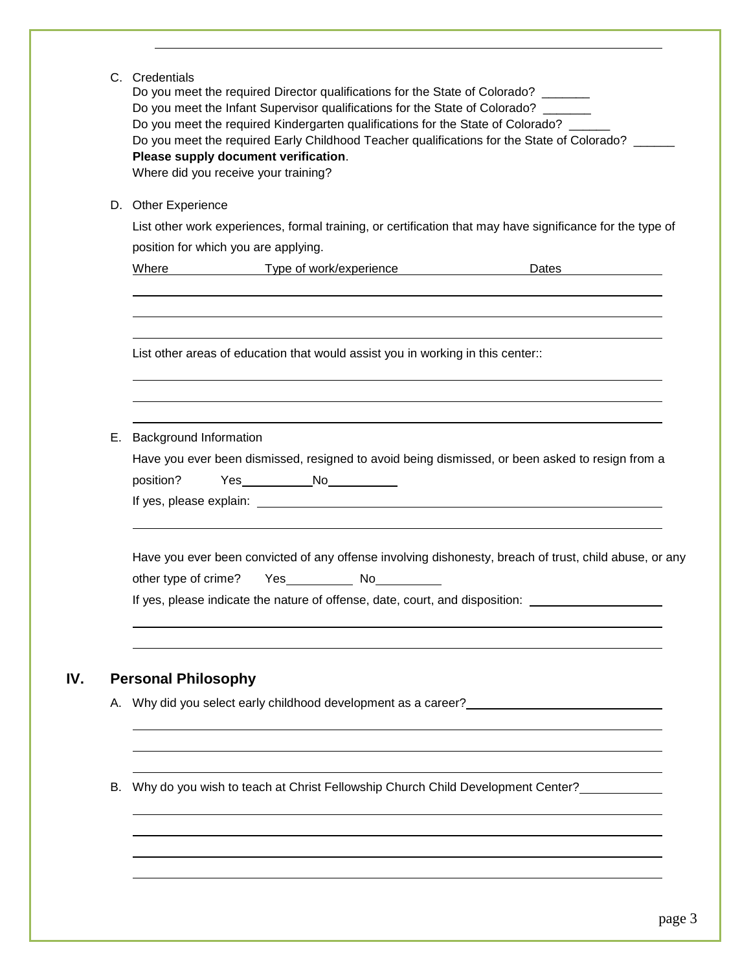| C. Credentials<br>Do you meet the required Director qualifications for the State of Colorado?<br>Do you meet the Infant Supervisor qualifications for the State of Colorado? ______<br>Do you meet the required Kindergarten qualifications for the State of Colorado? ___<br>Do you meet the required Early Childhood Teacher qualifications for the State of Colorado? __<br>Please supply document verification.<br>Where did you receive your training? |  |  |  |  |
|-------------------------------------------------------------------------------------------------------------------------------------------------------------------------------------------------------------------------------------------------------------------------------------------------------------------------------------------------------------------------------------------------------------------------------------------------------------|--|--|--|--|
| D. Other Experience                                                                                                                                                                                                                                                                                                                                                                                                                                         |  |  |  |  |
| List other work experiences, formal training, or certification that may have significance for the type of                                                                                                                                                                                                                                                                                                                                                   |  |  |  |  |
| position for which you are applying.                                                                                                                                                                                                                                                                                                                                                                                                                        |  |  |  |  |
| Where Type of work/experience                                                                                                                                                                                                                                                                                                                                                                                                                               |  |  |  |  |
| List other areas of education that would assist you in working in this center.:                                                                                                                                                                                                                                                                                                                                                                             |  |  |  |  |
| E. Background Information<br>Have you ever been dismissed, resigned to avoid being dismissed, or been asked to resign from a<br>Yes____________No____________<br>position?                                                                                                                                                                                                                                                                                  |  |  |  |  |
| Have you ever been convicted of any offense involving dishonesty, breach of trust, child abuse, or any<br>If yes, please indicate the nature of offense, date, court, and disposition:                                                                                                                                                                                                                                                                      |  |  |  |  |
| <b>Personal Philosophy</b>                                                                                                                                                                                                                                                                                                                                                                                                                                  |  |  |  |  |
| A. Why did you select early childhood development as a career?                                                                                                                                                                                                                                                                                                                                                                                              |  |  |  |  |
| B. Why do you wish to teach at Christ Fellowship Church Child Development Center?                                                                                                                                                                                                                                                                                                                                                                           |  |  |  |  |
|                                                                                                                                                                                                                                                                                                                                                                                                                                                             |  |  |  |  |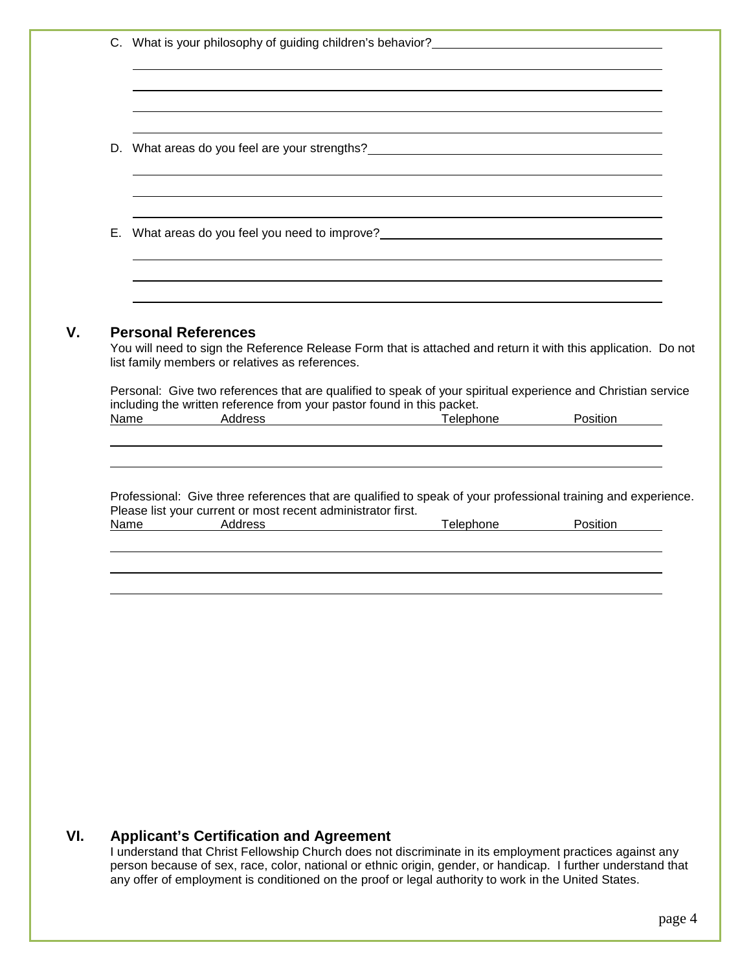| D. What areas do you feel are your strengths?___________________________________                                                                                                                                      |                                                                                                                                                                                                                                     |          |
|-----------------------------------------------------------------------------------------------------------------------------------------------------------------------------------------------------------------------|-------------------------------------------------------------------------------------------------------------------------------------------------------------------------------------------------------------------------------------|----------|
| E. What areas do you feel you need to improve?__________________________________                                                                                                                                      |                                                                                                                                                                                                                                     |          |
|                                                                                                                                                                                                                       |                                                                                                                                                                                                                                     |          |
| Personal: Give two references that are qualified to speak of your spiritual experience and Christian service<br>including the written reference from your pastor found in this packet.<br>Address<br>Name <b>Name</b> | <u>Telephone</u> and the contract of the contract of the contract of the contract of the contract of the contract of the contract of the contract of the contract of the contract of the contract of the contract of the contract o | Position |
|                                                                                                                                                                                                                       |                                                                                                                                                                                                                                     |          |
| Professional: Give three references that are qualified to speak of your professional training and experience.<br>Please list your current or most recent administrator first.                                         |                                                                                                                                                                                                                                     |          |
| Name Address                                                                                                                                                                                                          | <u>Telephone</u>                                                                                                                                                                                                                    | Position |
|                                                                                                                                                                                                                       |                                                                                                                                                                                                                                     |          |
|                                                                                                                                                                                                                       |                                                                                                                                                                                                                                     |          |
|                                                                                                                                                                                                                       |                                                                                                                                                                                                                                     |          |

#### **VI. Applicant's Certification and Agreement**

I understand that Christ Fellowship Church does not discriminate in its employment practices against any person because of sex, race, color, national or ethnic origin, gender, or handicap. I further understand that any offer of employment is conditioned on the proof or legal authority to work in the United States.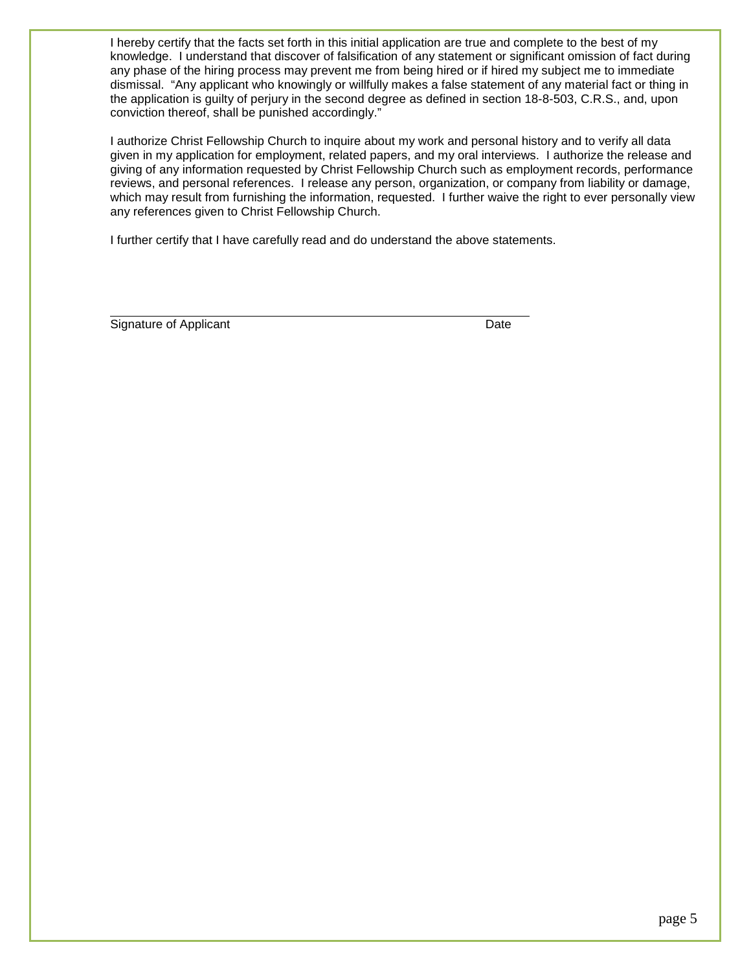I hereby certify that the facts set forth in this initial application are true and complete to the best of my knowledge. I understand that discover of falsification of any statement or significant omission of fact during any phase of the hiring process may prevent me from being hired or if hired my subject me to immediate dismissal. "Any applicant who knowingly or willfully makes a false statement of any material fact or thing in the application is guilty of perjury in the second degree as defined in section 18-8-503, C.R.S., and, upon conviction thereof, shall be punished accordingly."

I authorize Christ Fellowship Church to inquire about my work and personal history and to verify all data given in my application for employment, related papers, and my oral interviews. I authorize the release and giving of any information requested by Christ Fellowship Church such as employment records, performance reviews, and personal references. I release any person, organization, or company from liability or damage, which may result from furnishing the information, requested. I further waive the right to ever personally view any references given to Christ Fellowship Church.

I further certify that I have carefully read and do understand the above statements.

Signature of Applicant Date Date Date Date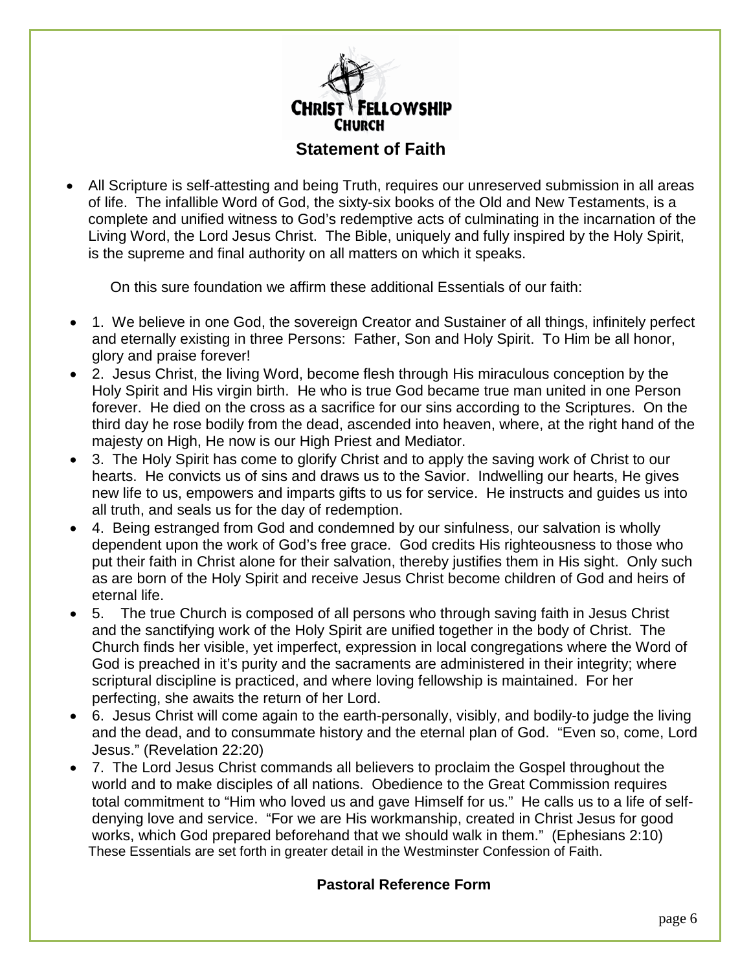

# **Statement of Faith**

• All Scripture is self-attesting and being Truth, requires our unreserved submission in all areas of life. The infallible Word of God, the sixty-six books of the Old and New Testaments, is a complete and unified witness to God's redemptive acts of culminating in the incarnation of the Living Word, the Lord Jesus Christ. The Bible, uniquely and fully inspired by the Holy Spirit, is the supreme and final authority on all matters on which it speaks.

On this sure foundation we affirm these additional Essentials of our faith:

- 1. We believe in one God, the sovereign Creator and Sustainer of all things, infinitely perfect and eternally existing in three Persons: Father, Son and Holy Spirit. To Him be all honor, glory and praise forever!
- 2. Jesus Christ, the living Word, become flesh through His miraculous conception by the Holy Spirit and His virgin birth. He who is true God became true man united in one Person forever. He died on the cross as a sacrifice for our sins according to the Scriptures. On the third day he rose bodily from the dead, ascended into heaven, where, at the right hand of the majesty on High, He now is our High Priest and Mediator.
- 3. The Holy Spirit has come to glorify Christ and to apply the saving work of Christ to our hearts. He convicts us of sins and draws us to the Savior. Indwelling our hearts, He gives new life to us, empowers and imparts gifts to us for service. He instructs and guides us into all truth, and seals us for the day of redemption.
- 4. Being estranged from God and condemned by our sinfulness, our salvation is wholly dependent upon the work of God's free grace. God credits His righteousness to those who put their faith in Christ alone for their salvation, thereby justifies them in His sight. Only such as are born of the Holy Spirit and receive Jesus Christ become children of God and heirs of eternal life.
- 5. The true Church is composed of all persons who through saving faith in Jesus Christ and the sanctifying work of the Holy Spirit are unified together in the body of Christ. The Church finds her visible, yet imperfect, expression in local congregations where the Word of God is preached in it's purity and the sacraments are administered in their integrity; where scriptural discipline is practiced, and where loving fellowship is maintained. For her perfecting, she awaits the return of her Lord.
- 6. Jesus Christ will come again to the earth-personally, visibly, and bodily-to judge the living and the dead, and to consummate history and the eternal plan of God. "Even so, come, Lord Jesus." (Revelation 22:20)
- 7. The Lord Jesus Christ commands all believers to proclaim the Gospel throughout the world and to make disciples of all nations. Obedience to the Great Commission requires total commitment to "Him who loved us and gave Himself for us." He calls us to a life of selfdenying love and service. "For we are His workmanship, created in Christ Jesus for good works, which God prepared beforehand that we should walk in them." (Ephesians 2:10) These Essentials are set forth in greater detail in the Westminster Confession of Faith.

## **Pastoral Reference Form**